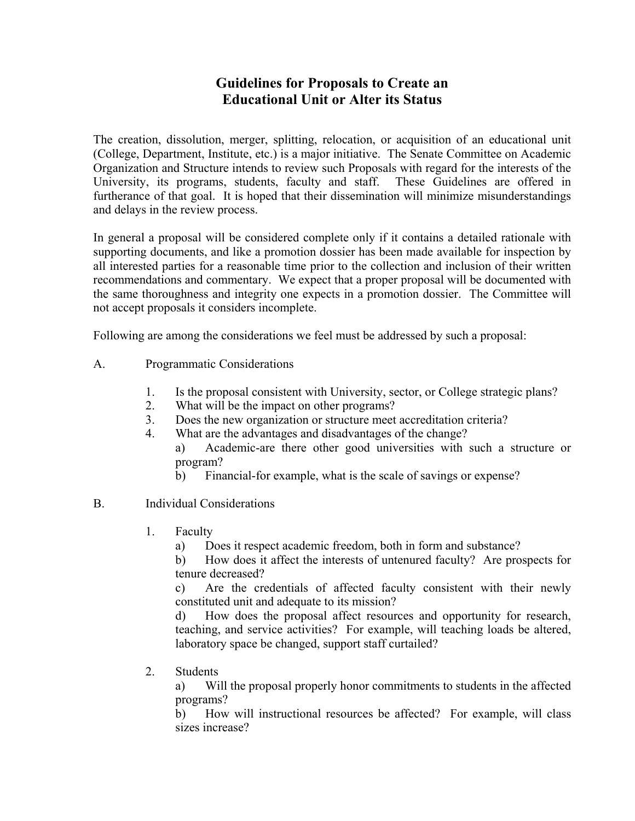## **Guidelines for Proposals to Create an Educational Unit or Alter its Status**

The creation, dissolution, merger, splitting, relocation, or acquisition of an educational unit (College, Department, Institute, etc.) is a major initiative. The Senate Committee on Academic Organization and Structure intends to review such Proposals with regard for the interests of the University, its programs, students, faculty and staff. These Guidelines are offered in furtherance of that goal. It is hoped that their dissemination will minimize misunderstandings and delays in the review process.

In general a proposal will be considered complete only if it contains a detailed rationale with supporting documents, and like a promotion dossier has been made available for inspection by all interested parties for a reasonable time prior to the collection and inclusion of their written recommendations and commentary. We expect that a proper proposal will be documented with the same thoroughness and integrity one expects in a promotion dossier. The Committee will not accept proposals it considers incomplete.

Following are among the considerations we feel must be addressed by such a proposal:

- A. Programmatic Considerations
	- 1. Is the proposal consistent with University, sector, or College strategic plans?
	- 2. What will be the impact on other programs?
	- 3. Does the new organization or structure meet accreditation criteria?
	- 4. What are the advantages and disadvantages of the change?
		- a) Academic-are there other good universities with such a structure or program?
			- b) Financial-for example, what is the scale of savings or expense?
- B. Individual Considerations
	- 1. Faculty
		- a) Does it respect academic freedom, both in form and substance?

 b) How does it affect the interests of untenured faculty? Are prospects for tenure decreased?

 c) Are the credentials of affected faculty consistent with their newly constituted unit and adequate to its mission?

 d) How does the proposal affect resources and opportunity for research, teaching, and service activities? For example, will teaching loads be altered, laboratory space be changed, support staff curtailed?

2. Students

 a) Will the proposal properly honor commitments to students in the affected programs?

 b) How will instructional resources be affected? For example, will class sizes increase?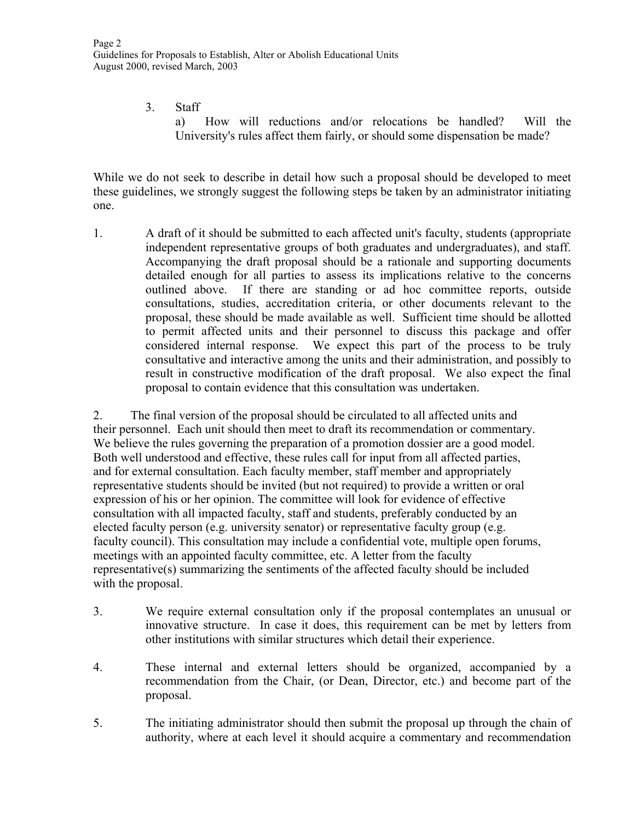3. Staff a) How will reductions and/or relocations be handled? Will the University's rules affect them fairly, or should some dispensation be made?

While we do not seek to describe in detail how such a proposal should be developed to meet these guidelines, we strongly suggest the following steps be taken by an administrator initiating one.

1. A draft of it should be submitted to each affected unit's faculty, students (appropriate independent representative groups of both graduates and undergraduates), and staff. Accompanying the draft proposal should be a rationale and supporting documents detailed enough for all parties to assess its implications relative to the concerns outlined above. If there are standing or ad hoc committee reports, outside consultations, studies, accreditation criteria, or other documents relevant to the proposal, these should be made available as well. Sufficient time should be allotted to permit affected units and their personnel to discuss this package and offer considered internal response. We expect this part of the process to be truly consultative and interactive among the units and their administration, and possibly to result in constructive modification of the draft proposal. We also expect the final proposal to contain evidence that this consultation was undertaken.

2. The final version of the proposal should be circulated to all affected units and their personnel. Each unit should then meet to draft its recommendation or commentary. We believe the rules governing the preparation of a promotion dossier are a good model. Both well understood and effective, these rules call for input from all affected parties, and for external consultation. Each faculty member, staff member and appropriately representative students should be invited (but not required) to provide a written or oral expression of his or her opinion. The committee will look for evidence of effective consultation with all impacted faculty, staff and students, preferably conducted by an elected faculty person (e.g. university senator) or representative faculty group (e.g. faculty council). This consultation may include a confidential vote, multiple open forums, meetings with an appointed faculty committee, etc. A letter from the faculty representative(s) summarizing the sentiments of the affected faculty should be included with the proposal.

- 3. We require external consultation only if the proposal contemplates an unusual or innovative structure. In case it does, this requirement can be met by letters from other institutions with similar structures which detail their experience.
- 4. These internal and external letters should be organized, accompanied by a recommendation from the Chair, (or Dean, Director, etc.) and become part of the proposal.
- 5. The initiating administrator should then submit the proposal up through the chain of authority, where at each level it should acquire a commentary and recommendation